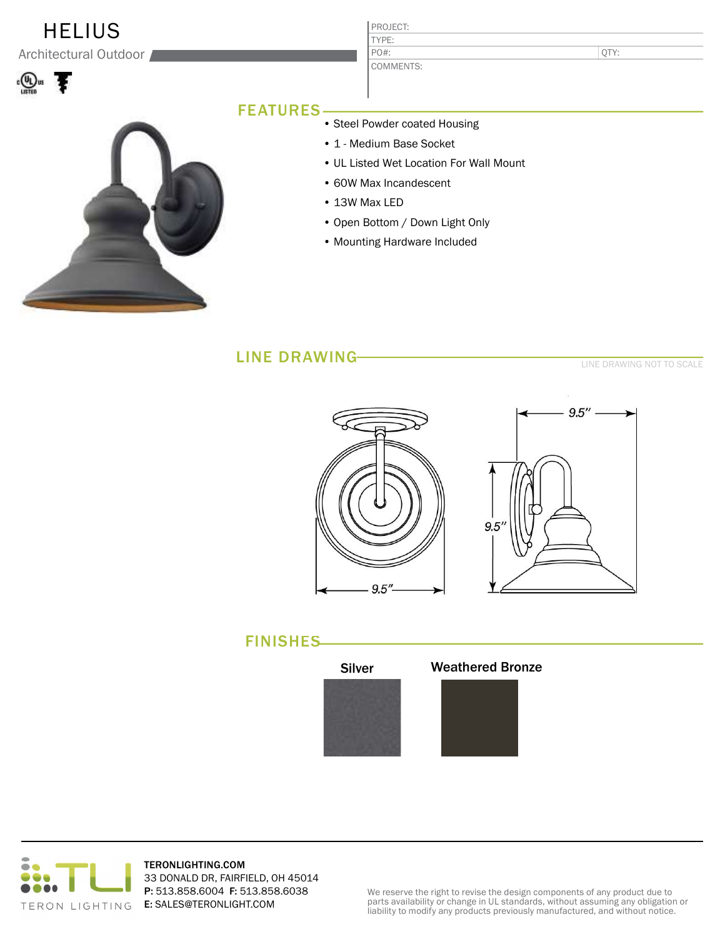## **HELIUS**

Architectural Outdoor





#### PROJECT: TYPE: COMMENTS: PO#:

QTY:

### FEATURES

- Steel Powder coated Housing
- 1 Medium Base Socket
- UL Listed Wet Location For Wall Mount
- 60W Max Incandescent
- 13W Max LED
- Open Bottom / Down Light Only
- Mounting Hardware Included

### LINE DRAWING

LINE DRAWING NOT TO SCALE









TERONLIGHTING.COM 33 DONALD DR, FAIRFIELD, OH 45014 P: 513.858.6004 F: 513.858.6038 E: SALES@TERONLIGHT.COM